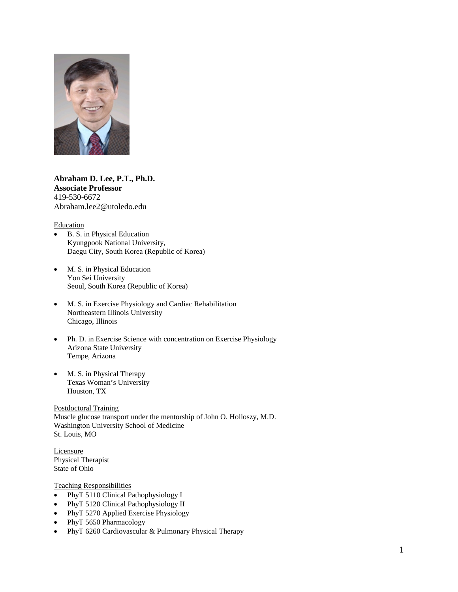

**Abraham D. Lee, P.T., Ph.D. Associate Professor** 419-530-6672 Abraham.lee2@utoledo.edu

#### **Education**

- B. S. in Physical Education Kyungpook National University, Daegu City, South Korea (Republic of Korea)
- M. S. in Physical Education Yon Sei University Seoul, South Korea (Republic of Korea)
- M. S. in Exercise Physiology and Cardiac Rehabilitation Northeastern Illinois University Chicago, Illinois
- Ph. D. in Exercise Science with concentration on Exercise Physiology Arizona State University Tempe, Arizona
- M. S. in Physical Therapy Texas Woman's University Houston, TX

Postdoctoral Training Muscle glucose transport under the mentorship of John O. Holloszy, M.D. Washington University School of Medicine St. Louis, MO

**Licensure** Physical Therapist State of Ohio

#### Teaching Responsibilities

- PhyT 5110 Clinical Pathophysiology I
- PhyT 5120 Clinical Pathophysiology II
- PhyT 5270 Applied Exercise Physiology
- PhyT 5650 Pharmacology
- PhyT 6260 Cardiovascular & Pulmonary Physical Therapy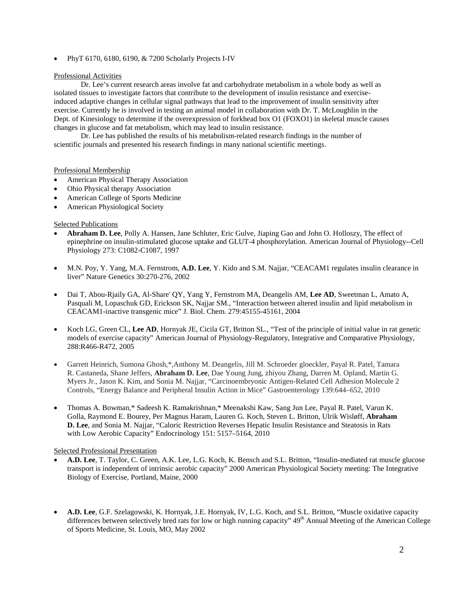• PhyT 6170, 6180, 6190, & 7200 Scholarly Projects I-IV

# Professional Activities

Dr. Lee's current research areas involve fat and carbohydrate metabolism in a whole body as well as isolated tissues to investigate factors that contribute to the development of insulin resistance and exerciseinduced adaptive changes in cellular signal pathways that lead to the improvement of insulin sensitivity after exercise. Currently he is involved in testing an animal model in collaboration with Dr. T. McLoughlin in the Dept. of Kinesiology to determine if the overexpression of forkhead box O1 (FOXO1) in skeletal muscle causes changes in glucose and fat metabolism, which may lead to insulin resistance.

Dr. Lee has published the results of his metabolism-related research findings in the number of scientific journals and presented his research findings in many national scientific meetings.

# Professional Membership

- American Physical Therapy Association
- Ohio Physical therapy Association
- American College of Sports Medicine
- American Physiological Society

# Selected Publications

- **Abraham D. Lee**, Polly A. Hansen, Jane Schluter, Eric Gulve, Jiaping Gao and John O. Holloszy, The effect of epinephrine on insulin-stimulated glucose uptake and GLUT-4 phosphorylation. American Journal of Physiology--Cell Physiology 273: C1082-C1087, 1997
- M.N. Poy, Y. Yang, M.A. Fernstrom, **A.D. Lee**, Y. Kido and S.M. Najjar, "CEACAM1 regulates insulin clearance in liver" Nature Genetics 30:270-276, 2002
- Dai T, Abou-Rjaily GA, Al-Share' QY, Yang Y, Fernstrom MA, Deangelis AM, **Lee AD**, Sweetman L, Amato A, Pasquali M, Lopaschuk GD, Erickson SK, Najjar SM., "Interaction between altered insulin and lipid metabolism in CEACAM1-inactive transgenic mice" J. Biol. Chem. 279:45155-45161, 2004
- Koch LG, Green CL, **Lee AD**, Hornyak JE, Cicila GT, Britton SL., "Test of the principle of initial value in rat genetic models of exercise capacity" American Journal of Physiology-Regulatory, Integrative and Comparative Physiology, 288:R466-R472, 2005
- Garrett Heinrich, Sumona Ghosh,\*,Anthony M. Deangelis, Jill M. Schroeder gloeckler, Payal R. Patel, Tamara R. Castaneda, Shane Jeffers, **Abraham D. Lee**, Dae Young Jung, zhiyou Zhang, Darren M. Opland, Martin G. Myers Jr., Jason K. Kim, and Sonia M. Najjar, "Carcinoembryonic Antigen-Related Cell Adhesion Molecule 2 Controls, "Energy Balance and Peripheral Insulin Action in Mice" Gastroenterology 139:644–652, 2010
- Thomas A. Bowman,\* Sadeesh K. Ramakrishnan,\* Meenakshi Kaw, Sang Jun Lee, Payal R. Patel, Varun K. Golla, Raymond E. Bourey, Per Magnus Haram, Lauren G. Koch, Steven L. Britton, Ulrik Wisløff, **Abraham D. Lee**, and Sonia M. Najjar, "Caloric Restriction Reverses Hepatic Insulin Resistance and Steatosis in Rats with Low Aerobic Capacity" Endocrinology 151: 5157–5164, 2010

# Selected Professional Presentation

- **A.D. Lee**, T. Taylor, C. Green, A.K. Lee, L.G. Koch, K. Bensch and S.L. Britton, "Insulin-mediated rat muscle glucose transport is independent of intrinsic aerobic capacity" 2000 American Physiological Society meeting: The Integrative Biology of Exercise, Portland, Maine, 2000
- **A.D. Lee**, G.F. Szelagowski, K. Hornyak, J.E. Hornyak, IV, L.G. Koch, and S.L. Britton, "Muscle oxidative capacity differences between selectively bred rats for low or high running capacity" 49<sup>th</sup> Annual Meeting of the American College of Sports Medicine, St. Louis, MO, May 2002